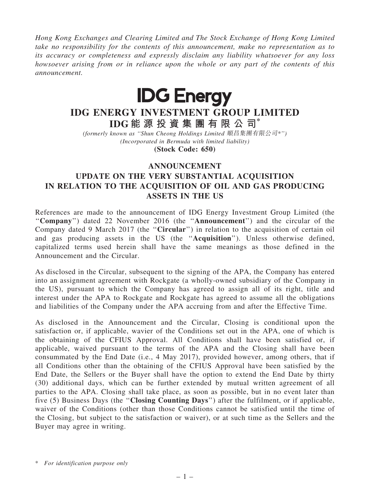Hong Kong Exchanges and Clearing Limited and The Stock Exchange of Hong Kong Limited take no responsibility for the contents of this announcement, make no representation as to its accuracy or completeness and expressly disclaim any liability whatsoever for any loss howsoever arising from or in reliance upon the whole or any part of the contents of this announcement.



## IDG ENERGY INVESTMENT GROUP LIMITED IDG 能 源 投 資 集 團 有 限 公 司\*

(formerly known as ''Shun Cheong Holdings Limited 順昌集團有限公司\*'') (Incorporated in Bermuda with limited liability)

(Stock Code: 650)

## ANNOUNCEMENT

## UPDATE ON THE VERY SUBSTANTIAL ACQUISITION IN RELATION TO THE ACQUISITION OF OIL AND GAS PRODUCING ASSETS IN THE US

References are made to the announcement of IDG Energy Investment Group Limited (the ''Company'') dated 22 November 2016 (the ''Announcement'') and the circular of the Company dated 9 March 2017 (the "Circular") in relation to the acquisition of certain oil and gas producing assets in the US (the ''Acquisition''). Unless otherwise defined, capitalized terms used herein shall have the same meanings as those defined in the Announcement and the Circular.

As disclosed in the Circular, subsequent to the signing of the APA, the Company has entered into an assignment agreement with Rockgate (a wholly-owned subsidiary of the Company in the US), pursuant to which the Company has agreed to assign all of its right, title and interest under the APA to Rockgate and Rockgate has agreed to assume all the obligations and liabilities of the Company under the APA accruing from and after the Effective Time.

As disclosed in the Announcement and the Circular, Closing is conditional upon the satisfaction or, if applicable, wavier of the Conditions set out in the APA, one of which is the obtaining of the CFIUS Approval. All Conditions shall have been satisfied or, if applicable, waived pursuant to the terms of the APA and the Closing shall have been consummated by the End Date (i.e., 4 May 2017), provided however, among others, that if all Conditions other than the obtaining of the CFIUS Approval have been satisfied by the End Date, the Sellers or the Buyer shall have the option to extend the End Date by thirty (30) additional days, which can be further extended by mutual written agreement of all parties to the APA. Closing shall take place, as soon as possible, but in no event later than five (5) Business Days (the ''Closing Counting Days'') after the fulfilment, or if applicable, waiver of the Conditions (other than those Conditions cannot be satisfied until the time of the Closing, but subject to the satisfaction or waiver), or at such time as the Sellers and the Buyer may agree in writing.

<sup>\*</sup> For identification purpose only